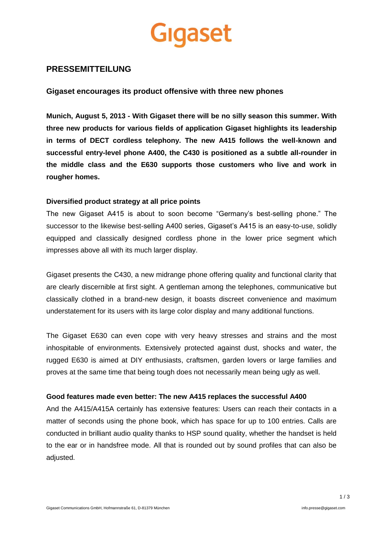

# **PRESSEMITTEILUNG**

# **Gigaset encourages its product offensive with three new phones**

**Munich, August 5, 2013 - With Gigaset there will be no silly season this summer. With three new products for various fields of application Gigaset highlights its leadership in terms of DECT cordless telephony. The new A415 follows the well-known and successful entry-level phone A400, the C430 is positioned as a subtle all-rounder in the middle class and the E630 supports those customers who live and work in rougher homes.**

### **Diversified product strategy at all price points**

The new Gigaset A415 is about to soon become "Germany's best-selling phone." The successor to the likewise best-selling A400 series, Gigaset's A415 is an easy-to-use, solidly equipped and classically designed cordless phone in the lower price segment which impresses above all with its much larger display.

Gigaset presents the C430, a new midrange phone offering quality and functional clarity that are clearly discernible at first sight. A gentleman among the telephones, communicative but classically clothed in a brand-new design, it boasts discreet convenience and maximum understatement for its users with its large color display and many additional functions.

The Gigaset E630 can even cope with very heavy stresses and strains and the most inhospitable of environments. Extensively protected against dust, shocks and water, the rugged E630 is aimed at DIY enthusiasts, craftsmen, garden lovers or large families and proves at the same time that being tough does not necessarily mean being ugly as well.

### **Good features made even better: The new A415 replaces the successful A400**

And the A415/A415A certainly has extensive features: Users can reach their contacts in a matter of seconds using the phone book, which has space for up to 100 entries. Calls are conducted in brilliant audio quality thanks to HSP sound quality, whether the handset is held to the ear or in handsfree mode. All that is rounded out by sound profiles that can also be adjusted.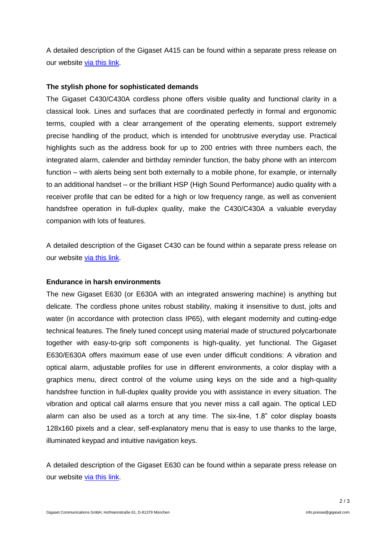A detailed description of the Gigaset A415 can be found within a separate press release on our website [via this link.](http://www.gigaset.com/en_HQ/press/news-detail/news/detail/News/gigaset-presents-the-new-and-soon-to-be-germanys-best-selling-phone.html)

# **The stylish phone for sophisticated demands**

The Gigaset C430/C430A cordless phone offers visible quality and functional clarity in a classical look. Lines and surfaces that are coordinated perfectly in formal and ergonomic terms, coupled with a clear arrangement of the operating elements, support extremely precise handling of the product, which is intended for unobtrusive everyday use. Practical highlights such as the address book for up to 200 entries with three numbers each, the integrated alarm, calender and birthday reminder function, the baby phone with an intercom function – with alerts being sent both externally to a mobile phone, for example, or internally to an additional handset – or the brilliant HSP (High Sound Performance) audio quality with a receiver profile that can be edited for a high or low frequency range, as well as convenient handsfree operation in full-duplex quality, make the C430/C430A a valuable everyday companion with lots of features.

A detailed description of the Gigaset C430 can be found within a separate press release on our website [via this link.](http://www.gigaset.com/en_HQ/press/news-detail/news/detail/News/the-gentleman-among-telephones-gigaset-c430.html)

### **Endurance in harsh environments**

The new Gigaset E630 (or E630A with an integrated answering machine) is anything but delicate. The cordless phone unites robust stability, making it insensitive to dust, jolts and water (in accordance with protection class IP65), with elegant modernity and cutting-edge technical features. The finely tuned concept using material made of structured polycarbonate together with easy-to-grip soft components is high-quality, yet functional. The Gigaset E630/E630A offers maximum ease of use even under difficult conditions: A vibration and optical alarm, adjustable profiles for use in different environments, a color display with a graphics menu, direct control of the volume using keys on the side and a high-quality handsfree function in full-duplex quality provide you with assistance in every situation. The vibration and optical call alarms ensure that you never miss a call again. The optical LED alarm can also be used as a torch at any time. The six-line, 1.8" color display boasts 128x160 pixels and a clear, self-explanatory menu that is easy to use thanks to the large, illuminated keypad and intuitive navigation keys.

A detailed description of the Gigaset E630 can be found within a separate press release on our website [via this link.](http://www.gigaset.com/en_HQ/press/news-detail/news/detail/News/beautifully-tough-the-gigaset-e630-sets-new-standards-for-resilience.html)